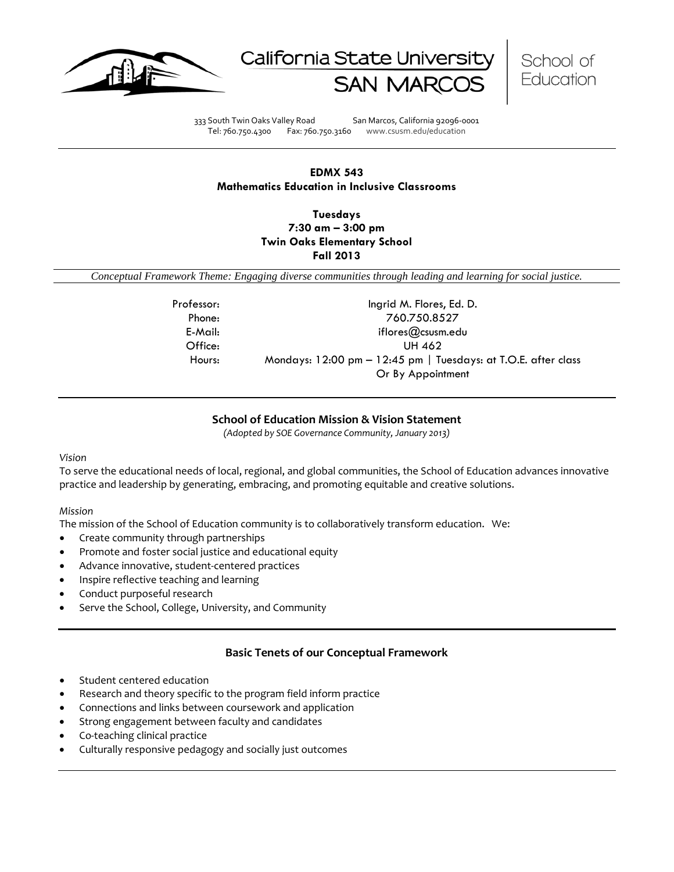





333 South Twin Oaks Valley Road San Marcos, California 92096-0001 Tel: 760.750.4300 Fax: 760.750.3160 www.csusm.edu/education

### **EDMX 543 Mathematics Education in Inclusive Classrooms**

**Tuesdays 7:30 am – 3:00 pm Twin Oaks Elementary School Fall 2013** 

<span id="page-0-0"></span>*Conceptual Framework Theme: Engaging diverse communities through leading and learning for social justice.*

| Professor: | Ingrid M. Flores, Ed. D.                                       |  |
|------------|----------------------------------------------------------------|--|
| Phone:     | 760.750.8527                                                   |  |
| E-Mail:    | iflores $@$ csusm.edu                                          |  |
| Office:    | UH 462                                                         |  |
| Hours:     | Mondays: 12:00 pm - 12:45 pm   Tuesdays: at T.O.E. after class |  |
|            | Or By Appointment                                              |  |

### **School of Education Mission & Vision Statement**

*(Adopted by SOE Governance Community, January 2013)*

#### <span id="page-0-1"></span>*Vision*

To serve the educational needs of local, regional, and global communities, the School of Education advances innovative practice and leadership by generating, embracing, and promoting equitable and creative solutions.

### *Mission*

The mission of the School of Education community is to collaboratively transform education. We:

- Create community through partnerships
- Promote and foster social justice and educational equity
- Advance innovative, student-centered practices
- Inspire reflective teaching and learning
- Conduct purposeful research
- Serve the School, College, University, and Community

### **Basic Tenets of our Conceptual Framework**

- <span id="page-0-2"></span>Student centered education
- Research and theory specific to the program field inform practice
- Connections and links between coursework and application
- Strong engagement between faculty and candidates
- Co-teaching clinical practice
- Culturally responsive pedagogy and socially just outcomes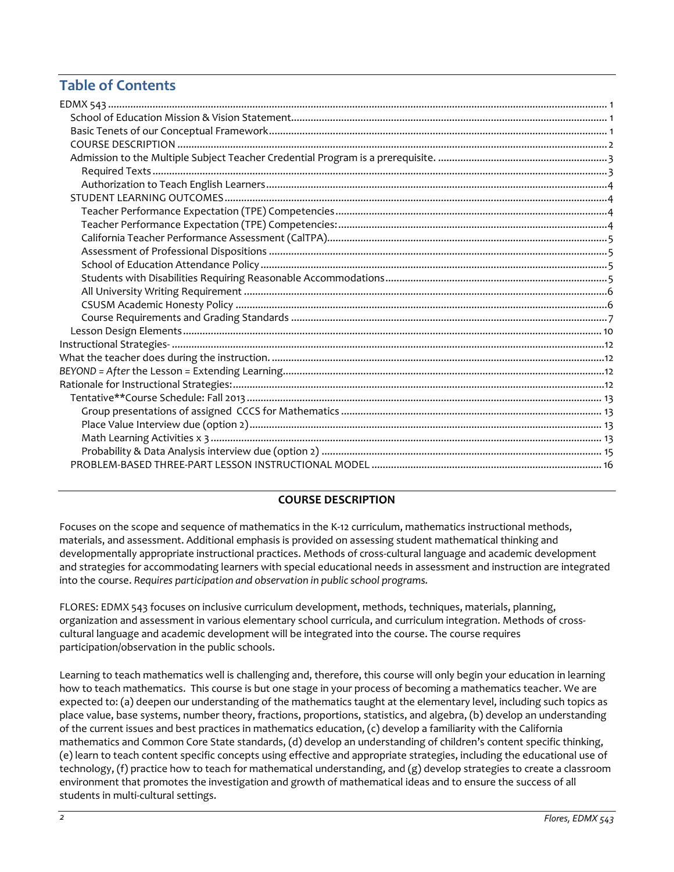# **Table of Contents**

### **COURSE DESCRIPTION**

<span id="page-1-0"></span>Focuses on the scope and sequence of mathematics in the K-12 curriculum, mathematics instructional methods, materials, and assessment. Additional emphasis is provided on assessing student mathematical thinking and developmentally appropriate instructional practices. Methods of cross-cultural language and academic development and strategies for accommodating learners with special educational needs in assessment and instruction are integrated into the course. *Requires participation and observation in public school programs.*

FLORES: EDMX 543 focuses on inclusive curriculum development, methods, techniques, materials, planning, organization and assessment in various elementary school curricula, and curriculum integration. Methods of crosscultural language and academic development will be integrated into the course. The course requires participation/observation in the public schools.

Learning to teach mathematics well is challenging and, therefore, this course will only begin your education in learning how to teach mathematics. This course is but one stage in your process of becoming a mathematics teacher. We are expected to: (a) deepen our understanding of the mathematics taught at the elementary level, including such topics as place value, base systems, number theory, fractions, proportions, statistics, and algebra, (b) develop an understanding of the current issues and best practices in mathematics education, (c) develop a familiarity with the California mathematics and Common Core State standards, (d) develop an understanding of children's content specific thinking, (e) learn to teach content specific concepts using effective and appropriate strategies, including the educational use of technology, (f) practice how to teach for mathematical understanding, and (g) develop strategies to create a classroom environment that promotes the investigation and growth of mathematical ideas and to ensure the success of all students in multi-cultural settings.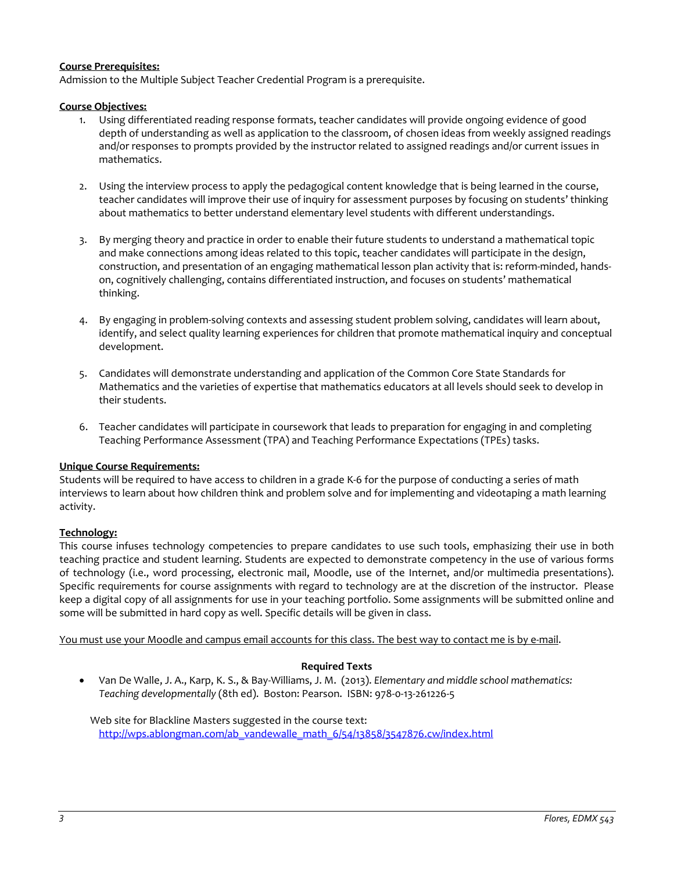### **Course Prerequisites:**

<span id="page-2-0"></span>Admission to the Multiple Subject Teacher Credential Program is a prerequisite.

### **Course Objectives:**

- 1. Using differentiated reading response formats, teacher candidates will provide ongoing evidence of good depth of understanding as well as application to the classroom, of chosen ideas from weekly assigned readings and/or responses to prompts provided by the instructor related to assigned readings and/or current issues in mathematics.
- 2. Using the interview process to apply the pedagogical content knowledge that is being learned in the course, teacher candidates will improve their use of inquiry for assessment purposes by focusing on students' thinking about mathematics to better understand elementary level students with different understandings.
- 3. By merging theory and practice in order to enable their future students to understand a mathematical topic and make connections among ideas related to this topic, teacher candidates will participate in the design, construction, and presentation of an engaging mathematical lesson plan activity that is: reform-minded, handson, cognitively challenging, contains differentiated instruction, and focuses on students' mathematical thinking.
- 4. By engaging in problem-solving contexts and assessing student problem solving, candidates will learn about, identify, and select quality learning experiences for children that promote mathematical inquiry and conceptual development.
- 5. Candidates will demonstrate understanding and application of the Common Core State Standards for Mathematics and the varieties of expertise that mathematics educators at all levels should seek to develop in their students.
- 6. Teacher candidates will participate in coursework that leads to preparation for engaging in and completing Teaching Performance Assessment (TPA) and Teaching Performance Expectations (TPEs) tasks.

### **Unique Course Requirements:**

Students will be required to have access to children in a grade K-6 for the purpose of conducting a series of math interviews to learn about how children think and problem solve and for implementing and videotaping a math learning activity.

### **Technology:**

This course infuses technology competencies to prepare candidates to use such tools, emphasizing their use in both teaching practice and student learning. Students are expected to demonstrate competency in the use of various forms of technology (i.e., word processing, electronic mail, Moodle, use of the Internet, and/or multimedia presentations). Specific requirements for course assignments with regard to technology are at the discretion of the instructor. Please keep a digital copy of all assignments for use in your teaching portfolio. Some assignments will be submitted online and some will be submitted in hard copy as well. Specific details will be given in class.

<span id="page-2-1"></span>You must use your Moodle and campus email accounts for this class. The best way to contact me is by e-mail.

### **Required Texts**

• Van De Walle, J. A., Karp, K. S., & Bay-Williams, J. M. (2013). *Elementary and middle school mathematics: Teaching developmentally* (8th ed). Boston: Pearson. ISBN: 978-0-13-261226-5

 Web site for Blackline Masters suggested in the course text: [http://wps.ablongman.com/ab\\_vandewalle\\_math\\_6/54/13858/3547876.cw/index.html](http://wps.ablongman.com/ab_vandewalle_math_6/54/13858/3547876.cw/index.html)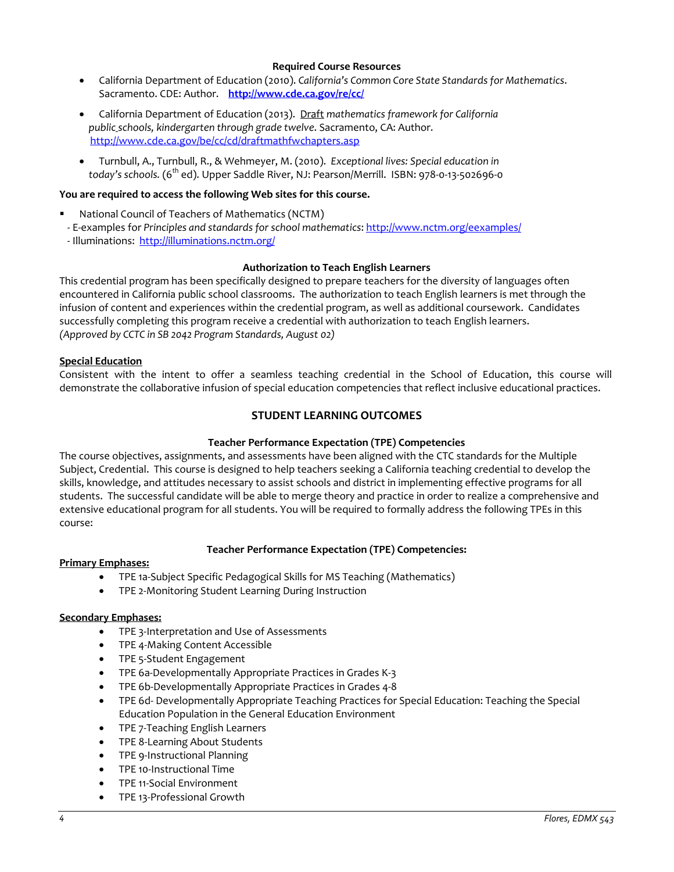### **Required Course Resources**

- California Department of Education (2010). *California's Common Core State Standards for Mathematics*. Sacramento. CDE: Author. **<http://www.cde.ca.gov/re/cc/>**
- California Department of Education (2013). Draft *mathematics framework for California public schools, kindergarten through grade twelve*. Sacramento, CA: Author. <http://www.cde.ca.gov/be/cc/cd/draftmathfwchapters.asp>
- Turnbull, A., Turnbull, R., & Wehmeyer, M. (2010). *Exceptional lives: Special education in today's schools.* (6th ed). Upper Saddle River, NJ: Pearson/Merrill. ISBN: 978-0-13-502696-0

### **You are required to access the following Web sites for this course.**

- National Council of Teachers of Mathematics (NCTM)
- E-examples for *Principles and standards for school mathematics*:<http://www.nctm.org/eexamples/>
- Illuminations: <http://illuminations.nctm.org/>

### **Authorization to Teach English Learners**

<span id="page-3-0"></span>This credential program has been specifically designed to prepare teachers for the diversity of languages often encountered in California public school classrooms. The authorization to teach English learners is met through the infusion of content and experiences within the credential program, as well as additional coursework. Candidates successfully completing this program receive a credential with authorization to teach English learners. *(Approved by CCTC in SB 2042 Program Standards, August 02)*

#### **Special Education**

<span id="page-3-1"></span>Consistent with the intent to offer a seamless teaching credential in the School of Education, this course will demonstrate the collaborative infusion of special education competencies that reflect inclusive educational practices.

### **STUDENT LEARNING OUTCOMES**

### **Teacher Performance Expectation (TPE) Competencies**

<span id="page-3-2"></span>The course objectives, assignments, and assessments have been aligned with the CTC standards for the Multiple Subject, Credential. This course is designed to help teachers seeking a California teaching credential to develop the skills, knowledge, and attitudes necessary to assist schools and district in implementing effective programs for all students. The successful candidate will be able to merge theory and practice in order to realize a comprehensive and extensive educational program for all students. You will be required to formally address the following TPEs in this course:

### **Teacher Performance Expectation (TPE) Competencies:**

#### <span id="page-3-3"></span>**Primary Emphases:**

- TPE 1a-Subject Specific Pedagogical Skills for MS Teaching (Mathematics)
- TPE 2-Monitoring Student Learning During Instruction

### **Secondary Emphases:**

- TPE 3-Interpretation and Use of Assessments
- TPE 4-Making Content Accessible
- TPE 5-Student Engagement
- TPE 6a-Developmentally Appropriate Practices in Grades K-3
- TPE 6b-Developmentally Appropriate Practices in Grades 4-8
- TPE 6d- Developmentally Appropriate Teaching Practices for Special Education: Teaching the Special Education Population in the General Education Environment
- TPE 7-Teaching English Learners
- TPE 8-Learning About Students
- TPE 9-Instructional Planning
- TPE 10-Instructional Time
- TPE 11-Social Environment
- TPE 13-Professional Growth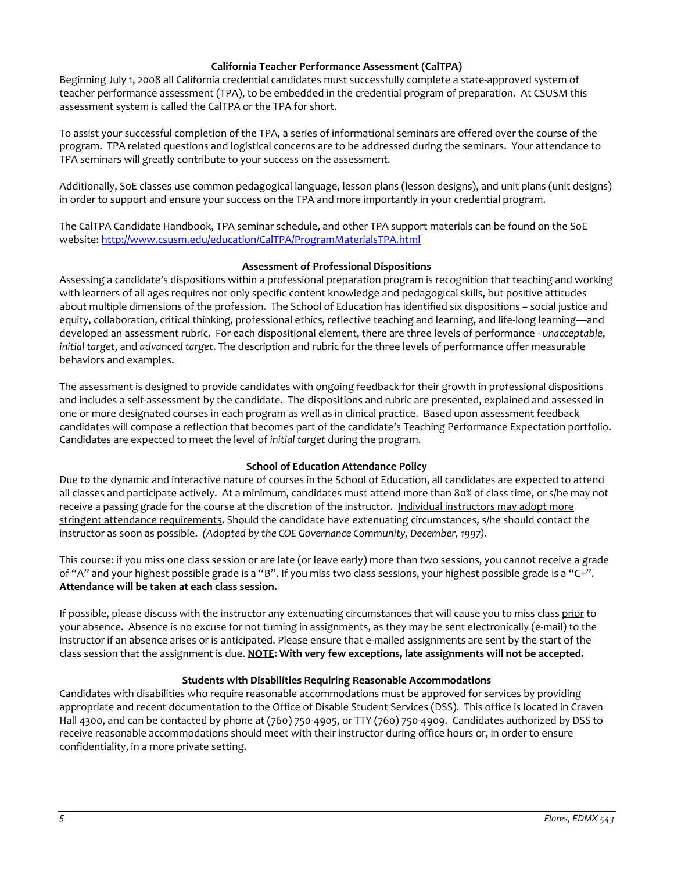### **California Teacher Performance Assessment (CalTPA)**

<span id="page-4-0"></span>Beginning July 1, 2008 all California credential candidates must successfully complete a state-approved system of teacher performance assessment (TPA), to be embedded in the credential program of preparation. At CSUSM this assessment system is called the CalTPA or the TPA for short.

To assist your successful completion of the TPA, a series of informational seminars are offered over the course of the program. TPA related questions and logistical concerns are to be addressed during the seminars. Your attendance to TPA seminars will greatly contribute to your success on the assessment.

Additionally, SoE classes use common pedagogical language, lesson plans (lesson designs), and unit plans (unit designs) in order to support and ensure your success on the TPA and more importantly in your credential program.

The CalTPA Candidate Handbook, TPA seminar schedule, and other TPA support materials can be found on the SoE website: <http://www.csusm.edu/education/CalTPA/ProgramMaterialsTPA.html>

### **Assessment of Professional Dispositions**

<span id="page-4-1"></span>Assessing a candidate's dispositions within a professional preparation program is recognition that teaching and working with learners of all ages requires not only specific content knowledge and pedagogical skills, but positive attitudes about multiple dimensions of the profession. The School of Education has identified six dispositions – social justice and equity, collaboration, critical thinking, professional ethics, reflective teaching and learning, and life-long learning—and developed an assessment rubric. For each dispositional element, there are three levels of performance - *unacceptable*, *initial target*, and *advanced target*. The description and rubric for the three levels of performance offer measurable behaviors and examples.

The assessment is designed to provide candidates with ongoing feedback for their growth in professional dispositions and includes a self-assessment by the candidate. The dispositions and rubric are presented, explained and assessed in one or more designated courses in each program as well as in clinical practice. Based upon assessment feedback candidates will compose a reflection that becomes part of the candidate's Teaching Performance Expectation portfolio. Candidates are expected to meet the level of *initial target* during the program.

### **School of Education Attendance Policy**

<span id="page-4-2"></span>Due to the dynamic and interactive nature of courses in the School of Education, all candidates are expected to attend all classes and participate actively. At a minimum, candidates must attend more than 80% of class time, or s/he may not receive a passing grade for the course at the discretion of the instructor. Individual instructors may adopt more stringent attendance requirements. Should the candidate have extenuating circumstances, s/he should contact the instructor as soon as possible. *(Adopted by the COE Governance Community, December, 1997).*

This course: if you miss one class session or are late (or leave early) more than two sessions, you cannot receive a grade of "A" and your highest possible grade is a "B". If you miss two class sessions, your highest possible grade is a "C+". **Attendance will be taken at each class session.**

If possible, please discuss with the instructor any extenuating circumstances that will cause you to miss class prior to your absence. Absence is no excuse for not turning in assignments, as they may be sent electronically (e-mail) to the instructor if an absence arises or is anticipated. Please ensure that e-mailed assignments are sent by the start of the class session that the assignment is due. **NOTE: With very few exceptions, late assignments will not be accepted.**

### **Students with Disabilities Requiring Reasonable Accommodations**

<span id="page-4-4"></span><span id="page-4-3"></span>Candidates with disabilities who require reasonable accommodations must be approved for services by providing appropriate and recent documentation to the Office of Disable Student Services (DSS). This office is located in Craven Hall 4300, and can be contacted by phone at (760) 750-4905, or TTY (760) 750-4909. Candidates authorized by DSS to receive reasonable accommodations should meet with their instructor during office hours or, in order to ensure confidentiality, in a more private setting.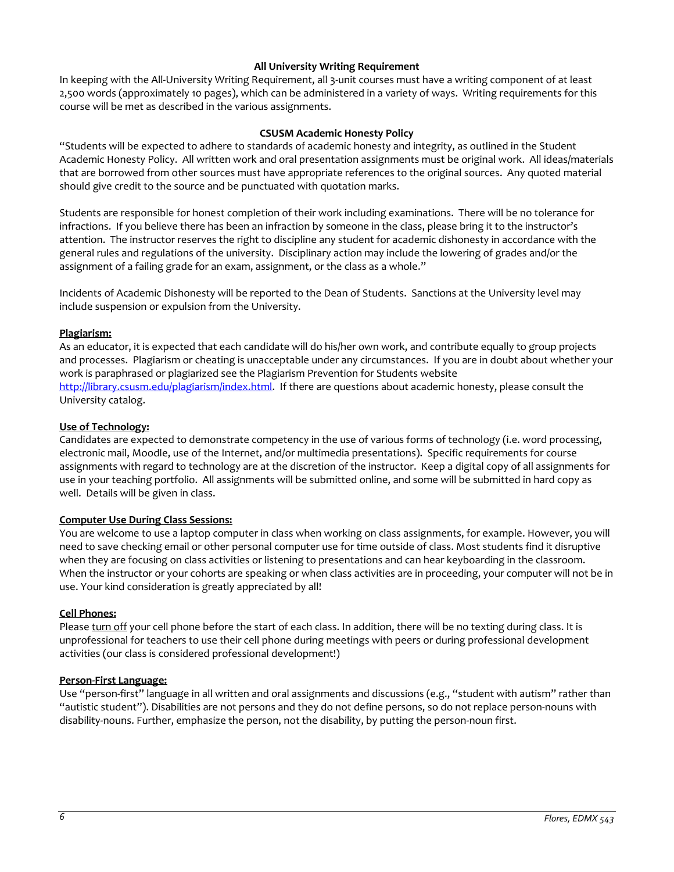### **All University Writing Requirement**

In keeping with the All-University Writing Requirement, all 3-unit courses must have a writing component of at least 2,500 words (approximately 10 pages), which can be administered in a variety of ways. Writing requirements for this course will be met as described in the various assignments.

### **CSUSM Academic Honesty Policy**

<span id="page-5-0"></span>"Students will be expected to adhere to standards of academic honesty and integrity, as outlined in the Student Academic Honesty Policy. All written work and oral presentation assignments must be original work. All ideas/materials that are borrowed from other sources must have appropriate references to the original sources. Any quoted material should give credit to the source and be punctuated with quotation marks.

Students are responsible for honest completion of their work including examinations. There will be no tolerance for infractions. If you believe there has been an infraction by someone in the class, please bring it to the instructor's attention. The instructor reserves the right to discipline any student for academic dishonesty in accordance with the general rules and regulations of the university. Disciplinary action may include the lowering of grades and/or the assignment of a failing grade for an exam, assignment, or the class as a whole."

Incidents of Academic Dishonesty will be reported to the Dean of Students. Sanctions at the University level may include suspension or expulsion from the University.

### **Plagiarism:**

As an educator, it is expected that each candidate will do his/her own work, and contribute equally to group projects and processes. Plagiarism or cheating is unacceptable under any circumstances. If you are in doubt about whether your work is paraphrased or plagiarized see the Plagiarism Prevention for Students website [http://library.csusm.edu/plagiarism/index.html.](http://library.csusm.edu/plagiarism/index.html) If there are questions about academic honesty, please consult the University catalog.

### **Use of Technology:**

Candidates are expected to demonstrate competency in the use of various forms of technology (i.e. word processing, electronic mail, Moodle, use of the Internet, and/or multimedia presentations). Specific requirements for course assignments with regard to technology are at the discretion of the instructor. Keep a digital copy of all assignments for use in your teaching portfolio. All assignments will be submitted online, and some will be submitted in hard copy as well. Details will be given in class.

### **Computer Use During Class Sessions:**

You are welcome to use a laptop computer in class when working on class assignments, for example. However, you will need to save checking email or other personal computer use for time outside of class. Most students find it disruptive when they are focusing on class activities or listening to presentations and can hear keyboarding in the classroom. When the instructor or your cohorts are speaking or when class activities are in proceeding, your computer will not be in use. Your kind consideration is greatly appreciated by all!

### **Cell Phones:**

Please turn off your cell phone before the start of each class. In addition, there will be no texting during class. It is unprofessional for teachers to use their cell phone during meetings with peers or during professional development activities (our class is considered professional development!)

### **Person-First Language:**

Use "person-first" language in all written and oral assignments and discussions (e.g., "student with autism" rather than "autistic student"). Disabilities are not persons and they do not define persons, so do not replace person-nouns with disability-nouns. Further, emphasize the person, not the disability, by putting the person-noun first.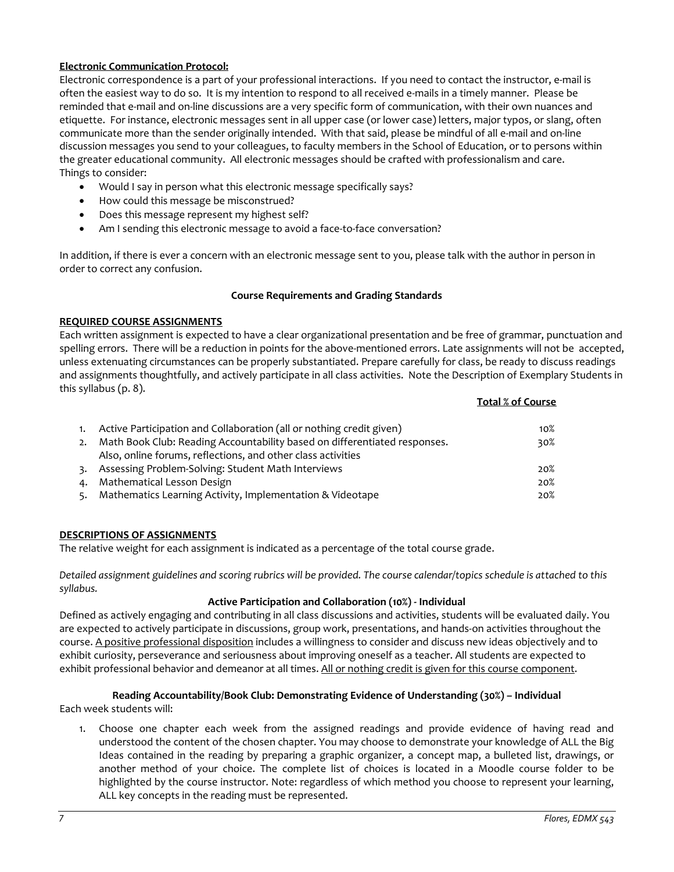### **Electronic Communication Protocol:**

Electronic correspondence is a part of your professional interactions. If you need to contact the instructor, e-mail is often the easiest way to do so. It is my intention to respond to all received e-mails in a timely manner. Please be reminded that e-mail and on-line discussions are a very specific form of communication, with their own nuances and etiquette. For instance, electronic messages sent in all upper case (or lower case) letters, major typos, or slang, often communicate more than the sender originally intended. With that said, please be mindful of all e-mail and on-line discussion messages you send to your colleagues, to faculty members in the School of Education, or to persons within the greater educational community. All electronic messages should be crafted with professionalism and care. Things to consider:

- Would I say in person what this electronic message specifically says?
- How could this message be misconstrued?
- Does this message represent my highest self?
- Am I sending this electronic message to avoid a face-to-face conversation?

In addition, if there is ever a concern with an electronic message sent to you, please talk with the author in person in order to correct any confusion.

#### **Course Requirements and Grading Standards**

#### <span id="page-6-0"></span>**REQUIRED COURSE ASSIGNMENTS**

Each written assignment is expected to have a clear organizational presentation and be free of grammar, punctuation and spelling errors. There will be a reduction in points for the above-mentioned errors. Late assignments will not be accepted, unless extenuating circumstances can be properly substantiated. Prepare carefully for class, be ready to discuss readings and assignments thoughtfully, and actively participate in all class activities. Note the Description of Exemplary Students in this syllabus (p. 8). **Total % of Course**

| Active Participation and Collaboration (all or nothing credit given)      | $10\%$ |
|---------------------------------------------------------------------------|--------|
| Math Book Club: Reading Accountability based on differentiated responses. | 30%    |
| Also, online forums, reflections, and other class activities              |        |
| Assessing Problem-Solving: Student Math Interviews                        | 20%    |
| Mathematical Lesson Design                                                | 20%    |
| Mathematics Learning Activity, Implementation & Videotape                 | 20%    |

### **DESCRIPTIONS OF ASSIGNMENTS**

The relative weight for each assignment is indicated as a percentage of the total course grade.

*Detailed assignment guidelines and scoring rubrics will be provided. The course calendar/topics schedule is attached to this syllabus.*

#### **Active Participation and Collaboration (10%) - Individual**

Defined as actively engaging and contributing in all class discussions and activities, students will be evaluated daily. You are expected to actively participate in discussions, group work, presentations, and hands-on activities throughout the course. A positive professional disposition includes a willingness to consider and discuss new ideas objectively and to exhibit curiosity, perseverance and seriousness about improving oneself as a teacher. All students are expected to exhibit professional behavior and demeanor at all times. All or nothing credit is given for this course component.

### **Reading Accountability/Book Club: Demonstrating Evidence of Understanding (30%) – Individual**

Each week students will:

1. Choose one chapter each week from the assigned readings and provide evidence of having read and understood the content of the chosen chapter. You may choose to demonstrate your knowledge of ALL the Big Ideas contained in the reading by preparing a graphic organizer, a concept map, a bulleted list, drawings, or another method of your choice. The complete list of choices is located in a Moodle course folder to be highlighted by the course instructor. Note: regardless of which method you choose to represent your learning, ALL key concepts in the reading must be represented.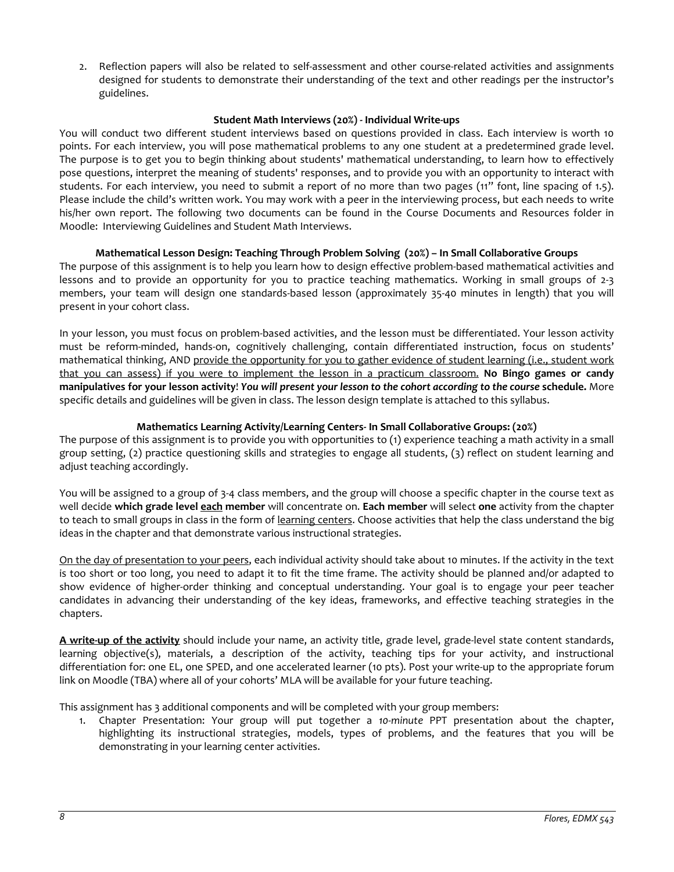2. Reflection papers will also be related to self-assessment and other course-related activities and assignments designed for students to demonstrate their understanding of the text and other readings per the instructor's guidelines.

### **Student Math Interviews (20%) - Individual Write-ups**

You will conduct two different student interviews based on questions provided in class. Each interview is worth 10 points. For each interview, you will pose mathematical problems to any one student at a predetermined grade level. The purpose is to get you to begin thinking about students' mathematical understanding, to learn how to effectively pose questions, interpret the meaning of students' responses, and to provide you with an opportunity to interact with students. For each interview, you need to submit a report of no more than two pages (11" font, line spacing of 1.5). Please include the child's written work. You may work with a peer in the interviewing process, but each needs to write his/her own report. The following two documents can be found in the Course Documents and Resources folder in Moodle: Interviewing Guidelines and Student Math Interviews.

#### **Mathematical Lesson Design: Teaching Through Problem Solving (20%) – In Small Collaborative Groups**

The purpose of this assignment is to help you learn how to design effective problem-based mathematical activities and lessons and to provide an opportunity for you to practice teaching mathematics. Working in small groups of 2-3 members, your team will design one standards-based lesson (approximately 35-40 minutes in length) that you will present in your cohort class.

In your lesson, you must focus on problem-based activities, and the lesson must be differentiated. Your lesson activity must be reform-minded, hands-on, cognitively challenging, contain differentiated instruction, focus on students' mathematical thinking, AND provide the opportunity for you to gather evidence of student learning (i.e., student work that you can assess) if you were to implement the lesson in a practicum classroom. **No Bingo games or candy manipulatives for your lesson activity**! *You will present your lesson to the cohort according to the course* **schedule.** More specific details and guidelines will be given in class. The lesson design template is attached to this syllabus.

### **Mathematics Learning Activity/Learning Centers- In Small Collaborative Groups: (20%)**

The purpose of this assignment is to provide you with opportunities to (1) experience teaching a math activity in a small group setting, (2) practice questioning skills and strategies to engage all students, (3) reflect on student learning and adjust teaching accordingly.

You will be assigned to a group of 3-4 class members, and the group will choose a specific chapter in the course text as well decide **which grade level each member** will concentrate on. **Each member** will select **one** activity from the chapter to teach to small groups in class in the form of learning centers. Choose activities that help the class understand the big ideas in the chapter and that demonstrate various instructional strategies.

On the day of presentation to your peers, each individual activity should take about 10 minutes. If the activity in the text is too short or too long, you need to adapt it to fit the time frame. The activity should be planned and/or adapted to show evidence of higher-order thinking and conceptual understanding. Your goal is to engage your peer teacher candidates in advancing their understanding of the key ideas, frameworks, and effective teaching strategies in the chapters.

**A write-up of the activity** should include your name, an activity title, grade level, grade-level state content standards, learning objective(s), materials, a description of the activity, teaching tips for your activity, and instructional differentiation for: one EL, one SPED, and one accelerated learner (10 pts). Post your write-up to the appropriate forum link on Moodle (TBA) where all of your cohorts' MLA will be available for your future teaching.

This assignment has 3 additional components and will be completed with your group members:

1. Chapter Presentation: Your group will put together a *10-minute* PPT presentation about the chapter, highlighting its instructional strategies, models, types of problems, and the features that you will be demonstrating in your learning center activities.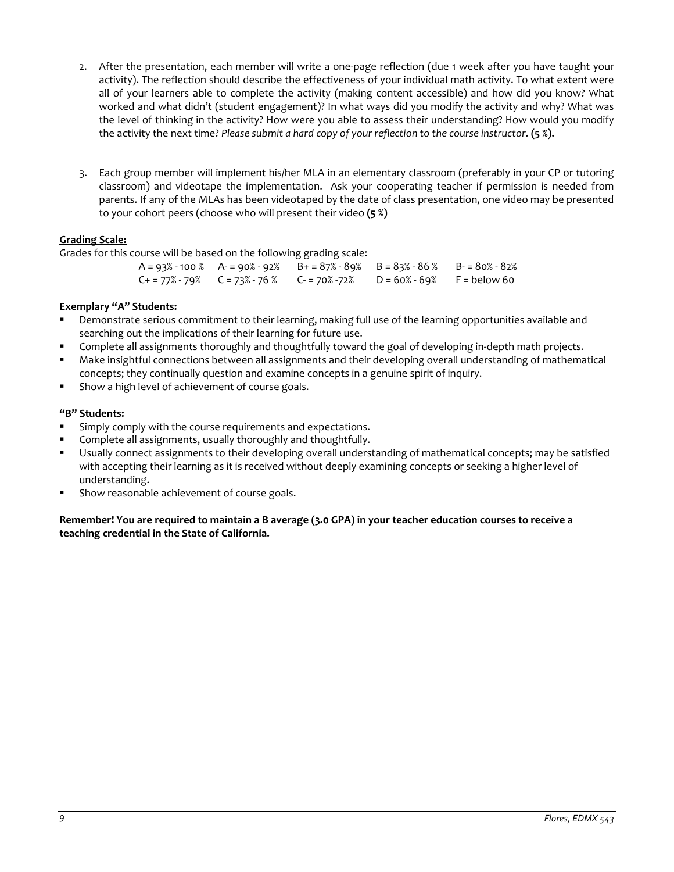- 2. After the presentation, each member will write a one-page reflection (due 1 week after you have taught your activity). The reflection should describe the effectiveness of your individual math activity. To what extent were all of your learners able to complete the activity (making content accessible) and how did you know? What worked and what didn't (student engagement)? In what ways did you modify the activity and why? What was the level of thinking in the activity? How were you able to assess their understanding? How would you modify the activity the next time? *Please submit a hard copy of your reflection to the course instructor.* **(5 %).**
- 3. Each group member will implement his/her MLA in an elementary classroom (preferably in your CP or tutoring classroom) and videotape the implementation. Ask your cooperating teacher if permission is needed from parents. If any of the MLAs has been videotaped by the date of class presentation, one video may be presented to your cohort peers (choose who will present their video **(5 %)**

### **Grading Scale:**

Grades for this course will be based on the following grading scale:

|  | $A = 93% - 100%$ $A = 90% - 92%$ $B = 87% - 89%$ $B = 83% - 86%$ $B = 80% - 82%$ |  |
|--|----------------------------------------------------------------------------------|--|
|  |                                                                                  |  |
|  | $C+ = 77% - 79%$ $C = 73% - 76%$ $C- = 70% - 72%$ $D = 60% - 69%$ $F = below 60$ |  |

### **Exemplary "A" Students:**

- Demonstrate serious commitment to their learning, making full use of the learning opportunities available and searching out the implications of their learning for future use.
- Complete all assignments thoroughly and thoughtfully toward the goal of developing in-depth math projects.
- Make insightful connections between all assignments and their developing overall understanding of mathematical concepts; they continually question and examine concepts in a genuine spirit of inquiry.
- Show a high level of achievement of course goals.

### **"B" Students:**

- Simply comply with the course requirements and expectations.
- Complete all assignments, usually thoroughly and thoughtfully.
- Usually connect assignments to their developing overall understanding of mathematical concepts; may be satisfied with accepting their learning as it is received without deeply examining concepts or seeking a higher level of understanding.
- Show reasonable achievement of course goals.

### **Remember! You are required to maintain a B average (3.0 GPA) in your teacher education courses to receive a teaching credential in the State of California.**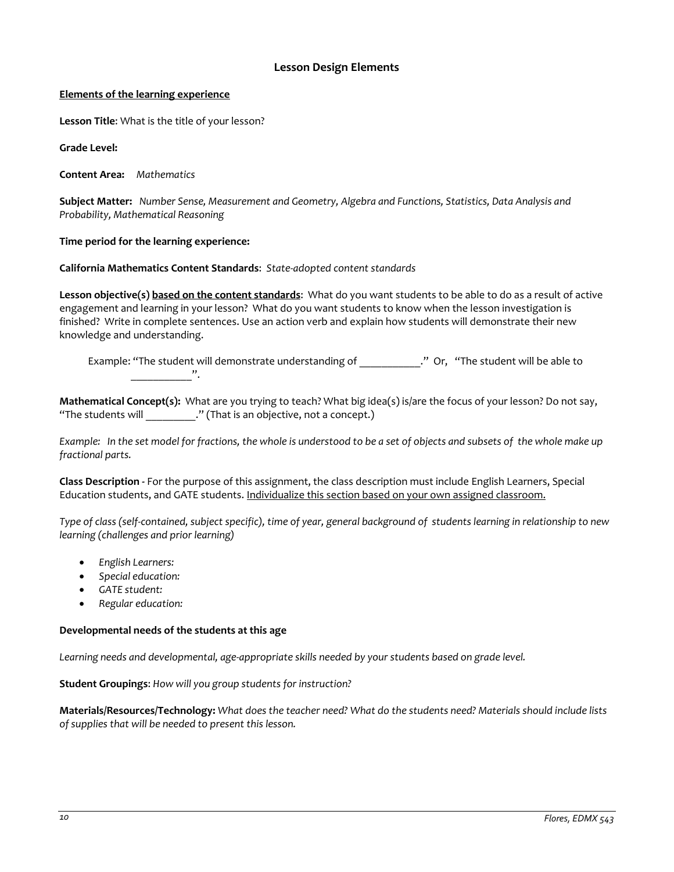### **Lesson Design Elements**

### <span id="page-9-0"></span>**Elements of the learning experience**

**Lesson Title**: What is the title of your lesson?

**Grade Level:**

**Content Area:** *Mathematics*

**Subject Matter:** *Number Sense, Measurement and Geometry, Algebra and Functions, Statistics, Data Analysis and Probability, Mathematical Reasoning*

### **Time period for the learning experience:**

### **California Mathematics Content Standards**: *State-adopted content standards*

**Lesson objective(s) based on the content standards**: What do you want students to be able to do as a result of active engagement and learning in your lesson? What do you want students to know when the lesson investigation is finished? Write in complete sentences. Use an action verb and explain how students will demonstrate their new knowledge and understanding.

Example: "The student will demonstrate understanding of The Student will be able to  $\overline{\phantom{a}}$  ,  $\overline{\phantom{a}}$  ,  $\overline{\phantom{a}}$  ,  $\overline{\phantom{a}}$  ,  $\overline{\phantom{a}}$  ,  $\overline{\phantom{a}}$ 

**Mathematical Concept(s):** What are you trying to teach? What big idea(s) is/are the focus of your lesson? Do not say, "The students will \_\_\_\_\_\_\_\_\_\_." (That is an objective, not a concept.)

*Example: In the set model for fractions, the whole is understood to be a set of objects and subsets of the whole make up fractional parts.* 

**Class Description -** For the purpose of this assignment, the class description must include English Learners, Special Education students, and GATE students. Individualize this section based on your own assigned classroom.

*Type of class (self-contained, subject specific), time of year, general background of students learning in relationship to new learning (challenges and prior learning)*

- *English Learners:*
- *Special education:*
- *GATE student:*
- *Regular education:*

### **Developmental needs of the students at this age**

*Learning needs and developmental, age-appropriate skills needed by your students based on grade level.*

**Student Groupings**: *How will you group students for instruction?*

**Materials/Resources/Technology:** *What does the teacher need? What do the students need? Materials should include lists of supplies that will be needed to present this lesson.*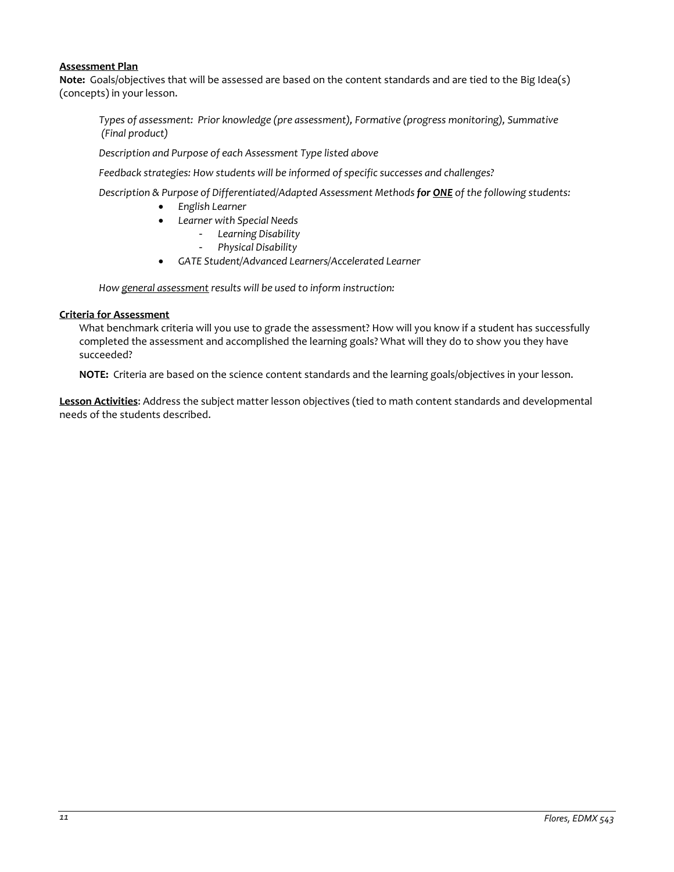### **Assessment Plan**

**Note:** Goals/objectives that will be assessed are based on the content standards and are tied to the Big Idea(s) (concepts) in your lesson.

*Types of assessment: Prior knowledge (pre assessment), Formative (progress monitoring), Summative (Final product)*

*Description and Purpose of each Assessment Type listed above* 

*Feedback strategies: How students will be informed of specific successes and challenges?*

*Description & Purpose of Differentiated/Adapted Assessment Methods for ONE of the following students:*

- *English Learner*
- *Learner with Special Needs*
	- *Learning Disability*
	- *Physical Disability*
- *GATE Student/Advanced Learners/Accelerated Learner*

*How general assessment results will be used to inform instruction:*

### **Criteria for Assessment**

What benchmark criteria will you use to grade the assessment? How will you know if a student has successfully completed the assessment and accomplished the learning goals? What will they do to show you they have succeeded?

**NOTE:** Criteria are based on the science content standards and the learning goals/objectives in your lesson.

**Lesson Activities**: Address the subject matter lesson objectives (tied to math content standards and developmental needs of the students described.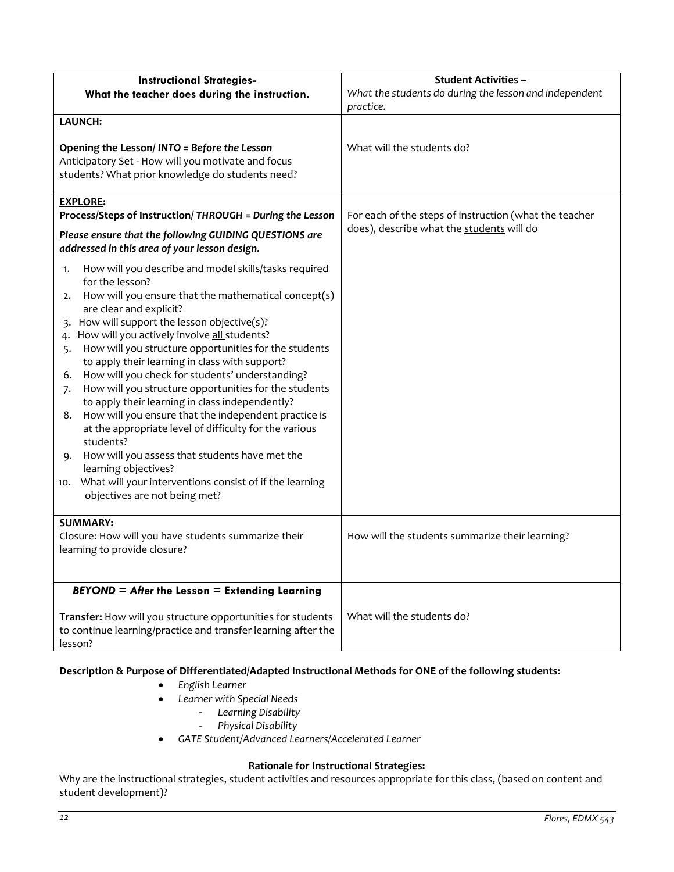<span id="page-11-1"></span><span id="page-11-0"></span>

| <b>Instructional Strategies-</b>                                                       | <b>Student Activities -</b>                            |  |
|----------------------------------------------------------------------------------------|--------------------------------------------------------|--|
| What the teacher does during the instruction.                                          | What the students do during the lesson and independent |  |
|                                                                                        | practice.                                              |  |
| <b>LAUNCH:</b>                                                                         |                                                        |  |
|                                                                                        |                                                        |  |
| Opening the Lesson/INTO = Before the Lesson                                            | What will the students do?                             |  |
| Anticipatory Set - How will you motivate and focus                                     |                                                        |  |
| students? What prior knowledge do students need?                                       |                                                        |  |
|                                                                                        |                                                        |  |
| <b>EXPLORE:</b><br>Process/Steps of Instruction/ THROUGH = During the Lesson           | For each of the steps of instruction (what the teacher |  |
|                                                                                        | does), describe what the students will do              |  |
| Please ensure that the following GUIDING QUESTIONS are                                 |                                                        |  |
| addressed in this area of your lesson design.                                          |                                                        |  |
| How will you describe and model skills/tasks required<br>1.                            |                                                        |  |
| for the lesson?                                                                        |                                                        |  |
| How will you ensure that the mathematical concept(s)<br>2.                             |                                                        |  |
| are clear and explicit?<br>How will support the lesson objective(s)?                   |                                                        |  |
| 4. How will you actively involve all students?                                         |                                                        |  |
| How will you structure opportunities for the students<br>5.                            |                                                        |  |
| to apply their learning in class with support?                                         |                                                        |  |
| How will you check for students' understanding?<br>6.                                  |                                                        |  |
| How will you structure opportunities for the students<br>7.                            |                                                        |  |
| to apply their learning in class independently?                                        |                                                        |  |
| How will you ensure that the independent practice is<br>8.                             |                                                        |  |
| at the appropriate level of difficulty for the various                                 |                                                        |  |
| students?                                                                              |                                                        |  |
| How will you assess that students have met the<br>9.                                   |                                                        |  |
| learning objectives?<br>What will your interventions consist of if the learning<br>10. |                                                        |  |
| objectives are not being met?                                                          |                                                        |  |
|                                                                                        |                                                        |  |
| <b>SUMMARY:</b>                                                                        |                                                        |  |
| Closure: How will you have students summarize their                                    | How will the students summarize their learning?        |  |
| learning to provide closure?                                                           |                                                        |  |
|                                                                                        |                                                        |  |
|                                                                                        |                                                        |  |
| $BEYOND = After the Lesson = Extending Learning$                                       |                                                        |  |
| Transfer: How will you structure opportunities for students                            | What will the students do?                             |  |
| to continue learning/practice and transfer learning after the                          |                                                        |  |
| lesson?                                                                                |                                                        |  |

# <span id="page-11-2"></span>**Description & Purpose of Differentiated/Adapted Instructional Methods for ONE of the following students:**

- *English Learner*
- *Learner with Special Needs*
	- *Learning Disability*
	- *Physical Disability*
- *GATE Student/Advanced Learners/Accelerated Learner*

## **Rationale for Instructional Strategies:**

<span id="page-11-3"></span>Why are the instructional strategies, student activities and resources appropriate for this class, (based on content and student development)?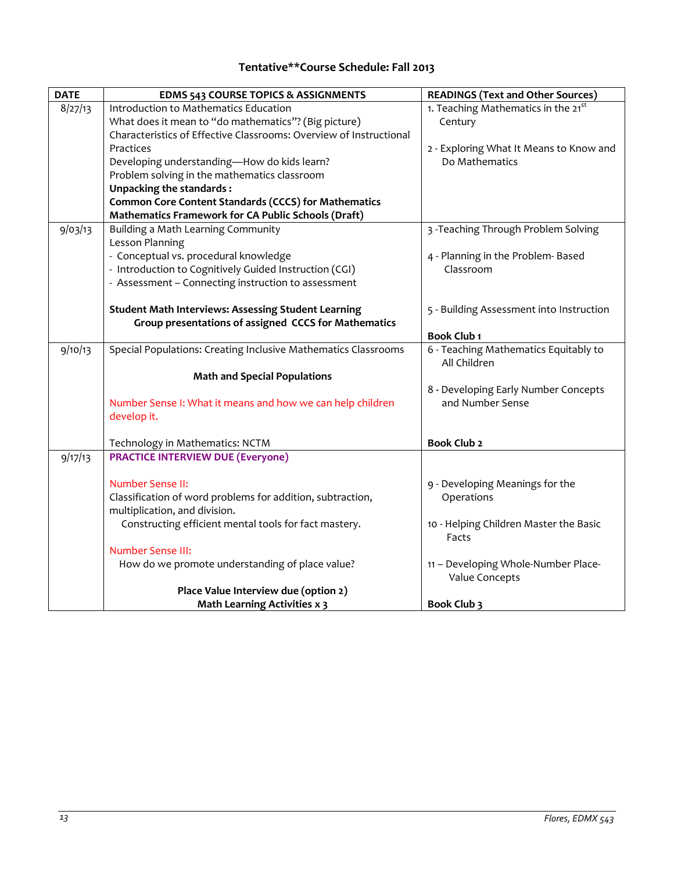# **Tentative\*\*Course Schedule: Fall 2013**

<span id="page-12-3"></span><span id="page-12-2"></span><span id="page-12-1"></span><span id="page-12-0"></span>

| <b>DATE</b> | <b>EDMS 543 COURSE TOPICS &amp; ASSIGNMENTS</b>                    | <b>READINGS (Text and Other Sources)</b>              |
|-------------|--------------------------------------------------------------------|-------------------------------------------------------|
| 8/27/13     | Introduction to Mathematics Education                              | 1. Teaching Mathematics in the 21 <sup>st</sup>       |
|             | What does it mean to "do mathematics"? (Big picture)               | Century                                               |
|             | Characteristics of Effective Classrooms: Overview of Instructional |                                                       |
|             | Practices                                                          | 2 - Exploring What It Means to Know and               |
|             | Developing understanding-How do kids learn?                        | Do Mathematics                                        |
|             | Problem solving in the mathematics classroom                       |                                                       |
|             | <b>Unpacking the standards:</b>                                    |                                                       |
|             | <b>Common Core Content Standards (CCCS) for Mathematics</b>        |                                                       |
|             | Mathematics Framework for CA Public Schools (Draft)                |                                                       |
| 9/03/13     | Building a Math Learning Community                                 | 3 - Teaching Through Problem Solving                  |
|             | Lesson Planning                                                    |                                                       |
|             | - Conceptual vs. procedural knowledge                              | 4 - Planning in the Problem- Based                    |
|             | - Introduction to Cognitively Guided Instruction (CGI)             | Classroom                                             |
|             | - Assessment - Connecting instruction to assessment                |                                                       |
|             |                                                                    |                                                       |
|             | <b>Student Math Interviews: Assessing Student Learning</b>         | 5 - Building Assessment into Instruction              |
|             | Group presentations of assigned CCCS for Mathematics               |                                                       |
|             |                                                                    | <b>Book Club 1</b>                                    |
| 9/10/13     | Special Populations: Creating Inclusive Mathematics Classrooms     | 6 - Teaching Mathematics Equitably to<br>All Children |
|             | <b>Math and Special Populations</b>                                |                                                       |
|             |                                                                    | 8 - Developing Early Number Concepts                  |
|             | Number Sense I: What it means and how we can help children         | and Number Sense                                      |
|             | develop it.                                                        |                                                       |
|             |                                                                    |                                                       |
|             | Technology in Mathematics: NCTM                                    | <b>Book Club 2</b>                                    |
| 9/17/13     | <b>PRACTICE INTERVIEW DUE (Everyone)</b>                           |                                                       |
|             |                                                                    |                                                       |
|             | Number Sense II:                                                   | 9 - Developing Meanings for the                       |
|             | Classification of word problems for addition, subtraction,         | Operations                                            |
|             | multiplication, and division.                                      |                                                       |
|             | Constructing efficient mental tools for fact mastery.              | 10 - Helping Children Master the Basic                |
|             |                                                                    | Facts                                                 |
|             | <b>Number Sense III:</b>                                           |                                                       |
|             | How do we promote understanding of place value?                    | 11 - Developing Whole-Number Place-                   |
|             |                                                                    | Value Concepts                                        |
|             | Place Value Interview due (option 2)                               |                                                       |
|             | <b>Math Learning Activities x 3</b>                                | Book Club 3                                           |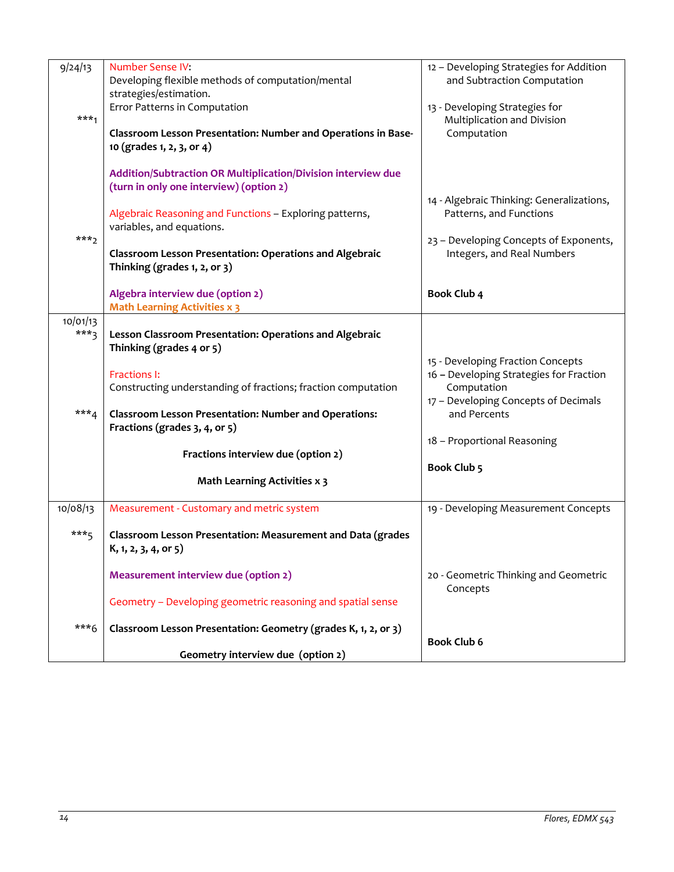| 9/24/13            | <b>Number Sense IV:</b><br>Developing flexible methods of computation/mental<br>strategies/estimation.                                                                                                                                                                                      | 12 - Developing Strategies for Addition<br>and Subtraction Computation                                                                              |
|--------------------|---------------------------------------------------------------------------------------------------------------------------------------------------------------------------------------------------------------------------------------------------------------------------------------------|-----------------------------------------------------------------------------------------------------------------------------------------------------|
| $***1$             | Error Patterns in Computation<br>Classroom Lesson Presentation: Number and Operations in Base-<br>10 (grades 1, 2, 3, or 4)                                                                                                                                                                 | 13 - Developing Strategies for<br>Multiplication and Division<br>Computation                                                                        |
| $***$ <sub>2</sub> | Addition/Subtraction OR Multiplication/Division interview due<br>(turn in only one interview) (option 2)<br>Algebraic Reasoning and Functions - Exploring patterns,<br>variables, and equations.<br>Classroom Lesson Presentation: Operations and Algebraic<br>Thinking (grades 1, 2, or 3) | 14 - Algebraic Thinking: Generalizations,<br>Patterns, and Functions<br>23 - Developing Concepts of Exponents,<br>Integers, and Real Numbers        |
|                    | Algebra interview due (option 2)<br><b>Math Learning Activities x 3</b>                                                                                                                                                                                                                     | <b>Book Club 4</b>                                                                                                                                  |
| 10/01/13<br>$***3$ | Lesson Classroom Presentation: Operations and Algebraic<br>Thinking (grades 4 or 5)                                                                                                                                                                                                         |                                                                                                                                                     |
| $***_4$            | Fractions I:<br>Constructing understanding of fractions; fraction computation<br><b>Classroom Lesson Presentation: Number and Operations:</b>                                                                                                                                               | 15 - Developing Fraction Concepts<br>16 - Developing Strategies for Fraction<br>Computation<br>17 - Developing Concepts of Decimals<br>and Percents |
|                    | Fractions (grades 3, 4, or 5)<br>Fractions interview due (option 2)                                                                                                                                                                                                                         | 18 - Proportional Reasoning                                                                                                                         |
|                    | <b>Math Learning Activities x 3</b>                                                                                                                                                                                                                                                         | <b>Book Club 5</b>                                                                                                                                  |
| 10/08/13           | Measurement - Customary and metric system                                                                                                                                                                                                                                                   | 19 - Developing Measurement Concepts                                                                                                                |
| $***_{5}$          | Classroom Lesson Presentation: Measurement and Data (grades<br>K, 1, 2, 3, 4, or 5)                                                                                                                                                                                                         |                                                                                                                                                     |
|                    | Measurement interview due (option 2)                                                                                                                                                                                                                                                        | 20 - Geometric Thinking and Geometric<br>Concepts                                                                                                   |
| $***6$             | Geometry - Developing geometric reasoning and spatial sense                                                                                                                                                                                                                                 |                                                                                                                                                     |
|                    | Classroom Lesson Presentation: Geometry (grades K, 1, 2, or 3)<br>Geometry interview due (option 2)                                                                                                                                                                                         | <b>Book Club 6</b>                                                                                                                                  |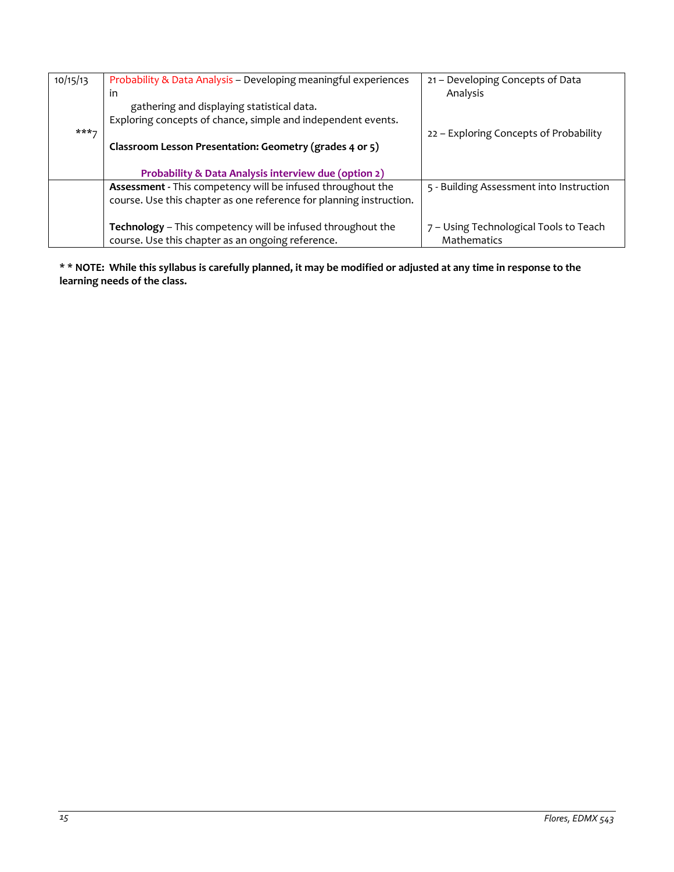| 10/15/13 | Probability & Data Analysis - Developing meaningful experiences<br>in                                                              | 21 – Developing Concepts of Data<br>Analysis          |
|----------|------------------------------------------------------------------------------------------------------------------------------------|-------------------------------------------------------|
|          | gathering and displaying statistical data.                                                                                         |                                                       |
| $***7$   | Exploring concepts of chance, simple and independent events.                                                                       | 22 - Exploring Concepts of Probability                |
|          | Classroom Lesson Presentation: Geometry (grades 4 or 5)                                                                            |                                                       |
|          | <b>Probability &amp; Data Analysis interview due (option 2)</b>                                                                    |                                                       |
|          | Assessment - This competency will be infused throughout the<br>course. Use this chapter as one reference for planning instruction. | 5 - Building Assessment into Instruction              |
|          | Technology - This competency will be infused throughout the<br>course. Use this chapter as an ongoing reference.                   | 7 - Using Technological Tools to Teach<br>Mathematics |

<span id="page-14-0"></span>**\* \* NOTE: While this syllabus is carefully planned, it may be modified or adjusted at any time in response to the learning needs of the class.**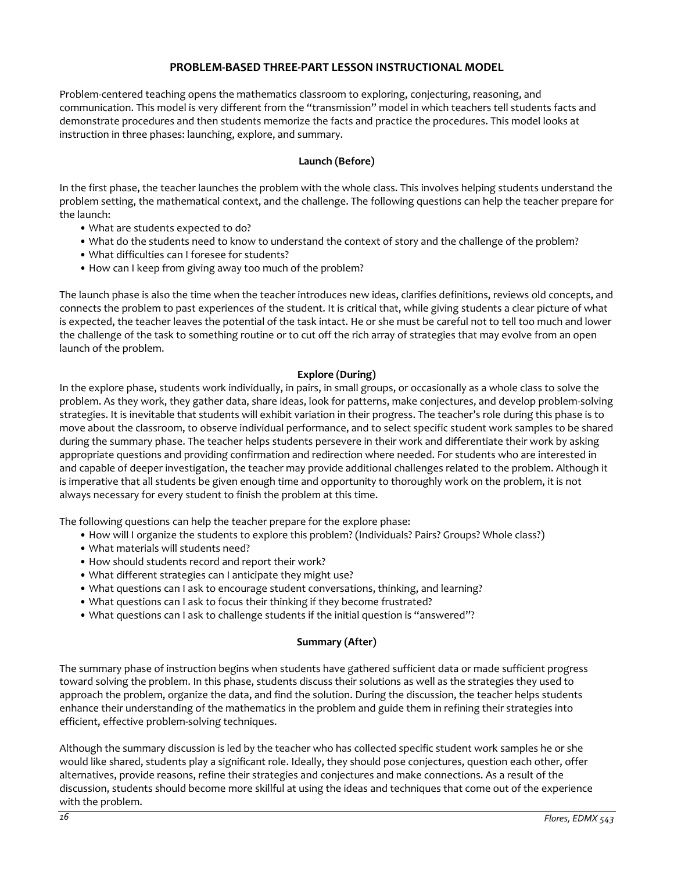### **PROBLEM-BASED THREE-PART LESSON INSTRUCTIONAL MODEL**

<span id="page-15-0"></span>Problem-centered teaching opens the mathematics classroom to exploring, conjecturing, reasoning, and communication. This model is very different from the "transmission" model in which teachers tell students facts and demonstrate procedures and then students memorize the facts and practice the procedures. This model looks at instruction in three phases: launching, explore, and summary.

### **Launch (Before)**

In the first phase, the teacher launches the problem with the whole class. This involves helping students understand the problem setting, the mathematical context, and the challenge. The following questions can help the teacher prepare for the launch:

- What are students expected to do?
- What do the students need to know to understand the context of story and the challenge of the problem?
- What difficulties can I foresee for students?
- How can I keep from giving away too much of the problem?

The launch phase is also the time when the teacher introduces new ideas, clarifies definitions, reviews old concepts, and connects the problem to past experiences of the student. It is critical that, while giving students a clear picture of what is expected, the teacher leaves the potential of the task intact. He or she must be careful not to tell too much and lower the challenge of the task to something routine or to cut off the rich array of strategies that may evolve from an open launch of the problem.

### **Explore (During)**

In the explore phase, students work individually, in pairs, in small groups, or occasionally as a whole class to solve the problem. As they work, they gather data, share ideas, look for patterns, make conjectures, and develop problem-solving strategies. It is inevitable that students will exhibit variation in their progress. The teacher's role during this phase is to move about the classroom, to observe individual performance, and to select specific student work samples to be shared during the summary phase. The teacher helps students persevere in their work and differentiate their work by asking appropriate questions and providing confirmation and redirection where needed. For students who are interested in and capable of deeper investigation, the teacher may provide additional challenges related to the problem. Although it is imperative that all students be given enough time and opportunity to thoroughly work on the problem, it is not always necessary for every student to finish the problem at this time.

The following questions can help the teacher prepare for the explore phase:

- How will I organize the students to explore this problem? (Individuals? Pairs? Groups? Whole class?)
- What materials will students need?
- How should students record and report their work?
- What different strategies can I anticipate they might use?
- What questions can I ask to encourage student conversations, thinking, and learning?
- What questions can I ask to focus their thinking if they become frustrated?
- What questions can I ask to challenge students if the initial question is "answered"?

### **Summary (After)**

The summary phase of instruction begins when students have gathered sufficient data or made sufficient progress toward solving the problem. In this phase, students discuss their solutions as well as the strategies they used to approach the problem, organize the data, and find the solution. During the discussion, the teacher helps students enhance their understanding of the mathematics in the problem and guide them in refining their strategies into efficient, effective problem-solving techniques.

Although the summary discussion is led by the teacher who has collected specific student work samples he or she would like shared, students play a significant role. Ideally, they should pose conjectures, question each other, offer alternatives, provide reasons, refine their strategies and conjectures and make connections. As a result of the discussion, students should become more skillful at using the ideas and techniques that come out of the experience with the problem.